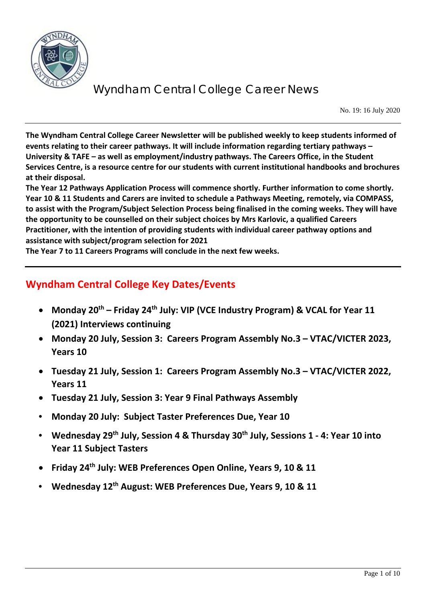

No. 19: 16 July 2020

**The Wyndham Central College Career Newsletter will be published weekly to keep students informed of events relating to their career pathways. It will include information regarding tertiary pathways – University & TAFE – as well as employment/industry pathways. The Careers Office, in the Student Services Centre, is a resource centre for our students with current institutional handbooks and brochures at their disposal.** 

**The Year 12 Pathways Application Process will commence shortly. Further information to come shortly. Year 10 & 11 Students and Carers are invited to schedule a Pathways Meeting, remotely, via COMPASS, to assist with the Program/Subject Selection Process being finalised in the coming weeks. They will have the opportunity to be counselled on their subject choices by Mrs Karlovic, a qualified Careers Practitioner, with the intention of providing students with individual career pathway options and assistance with subject/program selection for 2021**

**The Year 7 to 11 Careers Programs will conclude in the next few weeks.**

## **Wyndham Central College Key Dates/Events**

- **Monday 20th – Friday 24th July: VIP (VCE Industry Program) & VCAL for Year 11 (2021) Interviews continuing**
- **Monday 20 July, Session 3: Careers Program Assembly No.3 – VTAC/VICTER 2023, Years 10**
- **Tuesday 21 July, Session 1: Careers Program Assembly No.3 – VTAC/VICTER 2022, Years 11**
- **Tuesday 21 July, Session 3: Year 9 Final Pathways Assembly**
- **Monday 20 July: Subject Taster Preferences Due, Year 10**
- **Wednesday 29th July, Session 4 & Thursday 30th July, Sessions 1 - 4: Year 10 into Year 11 Subject Tasters**
- **Friday 24th July: WEB Preferences Open Online, Years 9, 10 & 11**
- **Wednesday 12th August: WEB Preferences Due, Years 9, 10 & 11**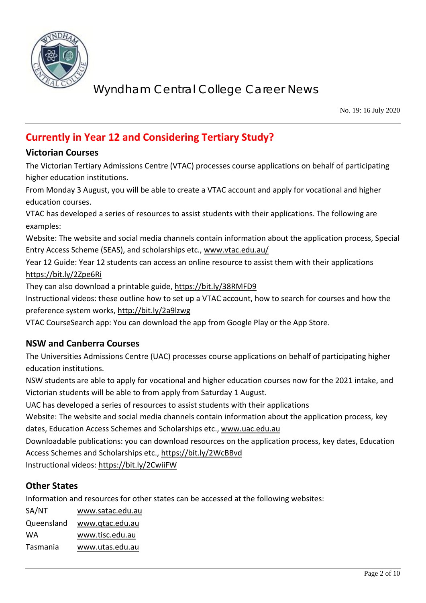

No. 19: 16 July 2020

## **Currently in Year 12 and Considering Tertiary Study?**

### **Victorian Courses**

The Victorian Tertiary Admissions Centre (VTAC) processes course applications on behalf of participating higher education institutions.

From Monday 3 August, you will be able to create a VTAC account and apply for vocational and higher education courses.

VTAC has developed a series of resources to assist students with their applications. The following are examples:

Website: The website and social media channels contain information about the application process, Special Entry Access Scheme (SEAS), and scholarships etc., [www.vtac.edu.au/](http://www.vtac.edu.au/)

Year 12 Guide: Year 12 students can access an online resource to assist them with their applications <https://bit.ly/2Zpe6Ri>

They can also download a printable guide,<https://bit.ly/38RMFD9>

Instructional videos: these outline how to set up a VTAC account, how to search for courses and how the preference system works,<http://bit.ly/2a9lzwg>

VTAC CourseSearch app: You can download the app from Google Play or the App Store.

### **NSW and Canberra Courses**

The Universities Admissions Centre (UAC) processes course applications on behalf of participating higher education institutions.

NSW students are able to apply for vocational and higher education courses now for the 2021 intake, and Victorian students will be able to from apply from Saturday 1 August.

UAC has developed a series of resources to assist students with their applications

Website: The website and social media channels contain information about the application process, key dates, Education Access Schemes and Scholarships etc., [www.uac.edu.au](http://www.uac.edu.au/)

Downloadable publications: you can download resources on the application process, key dates, Education Access Schemes and Scholarships etc.,<https://bit.ly/2WcBBvd>

Instructional videos:<https://bit.ly/2CwiiFW>

### **Other States**

Information and resources for other states can be accessed at the following websites:

| www.satac.edu.au |
|------------------|
| www.qtac.edu.au  |
| www.tisc.edu.au  |
| www.utas.edu.au  |
|                  |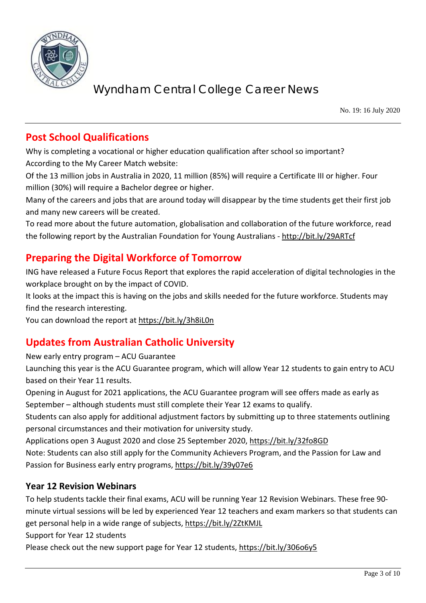

No. 19: 16 July 2020

## **Post School Qualifications**

Why is completing a vocational or higher education qualification after school so important? According to the My Career Match website:

Of the 13 million jobs in Australia in 2020, 11 million (85%) will require a Certificate III or higher. Four million (30%) will require a Bachelor degree or higher.

Many of the careers and jobs that are around today will disappear by the time students get their first job and many new careers will be created.

To read more about the future automation, globalisation and collaboration of the future workforce, read the following report by the Australian Foundation for Young Australians - <http://bit.ly/29ARTcf>

## **Preparing the Digital Workforce of Tomorrow**

ING have released a Future Focus Report that explores the rapid acceleration of digital technologies in the workplace brought on by the impact of COVID.

It looks at the impact this is having on the jobs and skills needed for the future workforce. Students may find the research interesting.

You can download the report at<https://bit.ly/3h8iL0n>

## **Updates from Australian Catholic University**

New early entry program – ACU Guarantee

Launching this year is the ACU Guarantee program, which will allow Year 12 students to gain entry to ACU based on their Year 11 results.

Opening in August for 2021 applications, the ACU Guarantee program will see offers made as early as September – although students must still complete their Year 12 exams to qualify.

Students can also apply for additional adjustment factors by submitting up to three statements outlining personal circumstances and their motivation for university study.

Applications open 3 August 2020 and close 25 September 2020,<https://bit.ly/32fo8GD>

Note: Students can also still apply for the Community Achievers Program, and the Passion for Law and Passion for Business early entry programs,<https://bit.ly/39y07e6>

### **Year 12 Revision Webinars**

To help students tackle their final exams, ACU will be running Year 12 Revision Webinars. These free 90 minute virtual sessions will be led by experienced Year 12 teachers and exam markers so that students can get personal help in a wide range of subjects,<https://bit.ly/2ZtKMJL>

Support for Year 12 students

Please check out the new support page for Year 12 students,<https://bit.ly/306o6y5>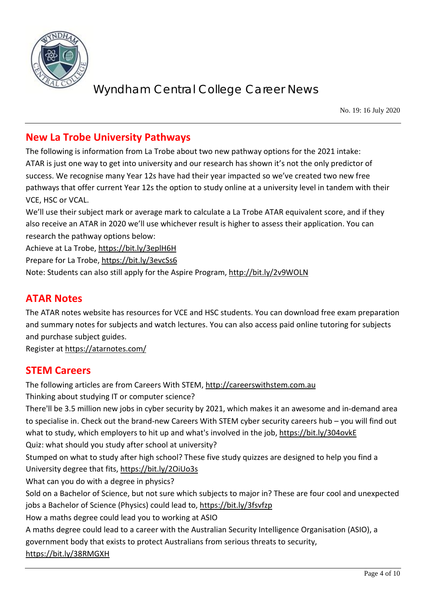

No. 19: 16 July 2020

## **New La Trobe University Pathways**

The following is information from La Trobe about two new pathway options for the 2021 intake: ATAR is just one way to get into university and our research has shown it's not the only predictor of success. We recognise many Year 12s have had their year impacted so we've created two new free pathways that offer current Year 12s the option to study online at a university level in tandem with their VCE, HSC or VCAL.

We'll use their subject mark or average mark to calculate a La Trobe ATAR equivalent score, and if they also receive an ATAR in 2020 we'll use whichever result is higher to assess their application. You can research the pathway options below:

Achieve at La Trobe,<https://bit.ly/3eplH6H>

Prepare for La Trobe,<https://bit.ly/3evcSs6>

Note: Students can also still apply for the Aspire Program,<http://bit.ly/2v9WOLN>

### **ATAR Notes**

The ATAR notes website has resources for VCE and HSC students. You can download free exam preparation and summary notes for subjects and watch lectures. You can also access paid online tutoring for subjects and purchase subject guides.

Register at<https://atarnotes.com/>

### **STEM Careers**

The following articles are from Careers With STEM, [http://careerswithstem.com.au](http://careerswithstem.com.au/) Thinking about studying IT or computer science? There'll be 3.5 million new jobs in cyber security by 2021, which makes it an awesome and in-demand area to specialise in. Check out the brand-new Careers With STEM cyber security careers hub – you will find out what to study, which employers to hit up and what's involved in the job,<https://bit.ly/304ovkE> Quiz: what should you study after school at university? Stumped on what to study after high school? These five study quizzes are designed to help you find a University degree that fits,<https://bit.ly/2OiUo3s> What can you do with a degree in physics? Sold on a Bachelor of Science, but not sure which subjects to major in? These are four cool and unexpected jobs a Bachelor of Science (Physics) could lead to,<https://bit.ly/3fsvfzp> How a maths degree could lead you to working at ASIO A maths degree could lead to a career with the Australian Security Intelligence Organisation (ASIO), a government body that exists to protect Australians from serious threats to security, <https://bit.ly/38RMGXH>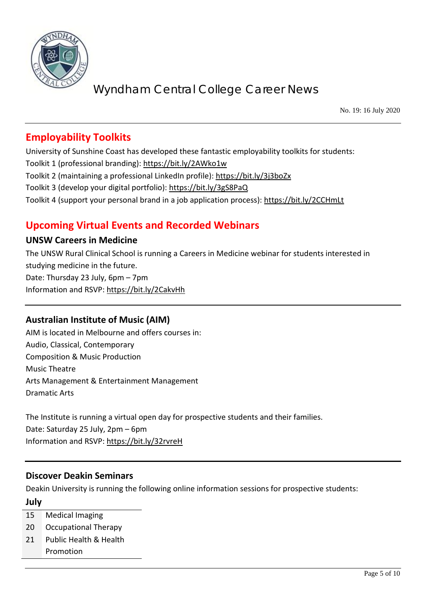

No. 19: 16 July 2020

## **Employability Toolkits**

University of Sunshine Coast has developed these fantastic employability toolkits for students: Toolkit 1 (professional branding):<https://bit.ly/2AWko1w> Toolkit 2 (maintaining a professional LinkedIn profile): <https://bit.ly/3j3boZx> Toolkit 3 (develop your digital portfolio): <https://bit.ly/3gS8PaQ> Toolkit 4 (support your personal brand in a job application process): <https://bit.ly/2CCHmLt>

## **Upcoming Virtual Events and Recorded Webinars**

#### **UNSW Careers in Medicine**

The UNSW Rural Clinical School is running a Careers in Medicine webinar for students interested in studying medicine in the future. Date: Thursday 23 July, 6pm – 7pm Information and RSVP:<https://bit.ly/2CakvHh>

### **Australian Institute of Music (AIM)**

AIM is located in Melbourne and offers courses in: Audio, Classical, Contemporary Composition & Music Production Music Theatre Arts Management & Entertainment Management Dramatic Arts

The Institute is running a virtual open day for prospective students and their families. Date: Saturday 25 July, 2pm – 6pm Information and RSVP:<https://bit.ly/32rvreH>

#### **Discover Deakin Seminars**

Deakin University is running the following online information sessions for prospective students: **July**

- 15 Medical Imaging
- 20 Occupational Therapy
- 21 Public Health & Health Promotion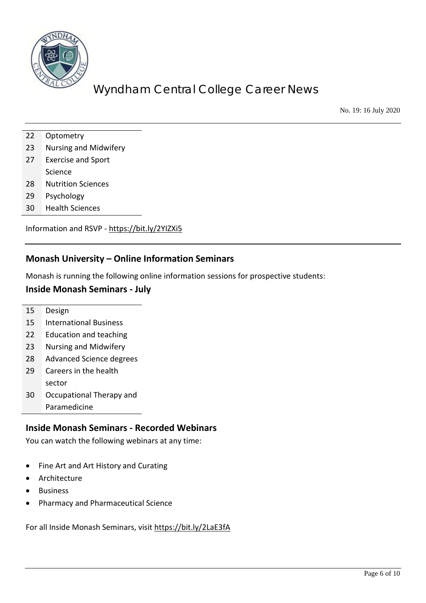

No. 19: 16 July 2020

- 22 Optometry
- 23 Nursing and Midwifery
- 27 Exercise and Sport
- Science
- 28 Nutrition Sciences
- 29 Psychology
- 30 Health Sciences

Information and RSVP - <https://bit.ly/2YIZXi5>

#### **Monash University – Online Information Seminars**

Monash is running the following online information sessions for prospective students:

#### **Inside Monash Seminars - July**

15 Design

- 15 International Business
- 22 Education and teaching
- 23 Nursing and Midwifery
- 28 Advanced Science degrees
- 29 Careers in the health sector
- 30 Occupational Therapy and Paramedicine
	-

#### **Inside Monash Seminars - Recorded Webinars**

You can watch the following webinars at any time:

- Fine Art and Art History and Curating
- Architecture
- **Business**
- Pharmacy and Pharmaceutical Science

For all Inside Monash Seminars, visi[t https://bit.ly/2LaE3fA](https://bit.ly/2LaE3fA)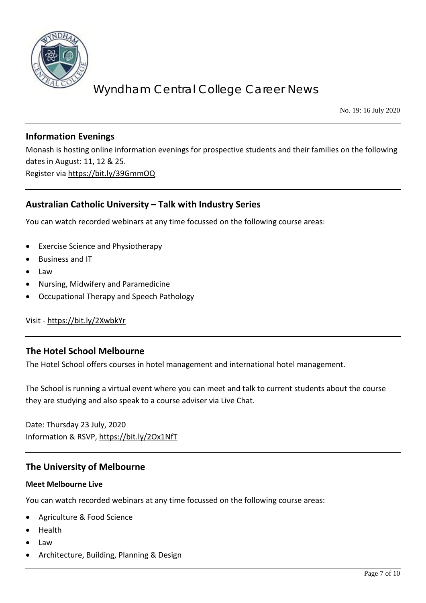

No. 19: 16 July 2020

### **Information Evenings**

Monash is hosting online information evenings for prospective students and their families on the following dates in August: 11, 12 & 25. Register via<https://bit.ly/39GmmOQ>

### **Australian Catholic University – Talk with Industry Series**

You can watch recorded webinars at any time focussed on the following course areas:

- Exercise Science and Physiotherapy
- Business and IT
- Law
- Nursing, Midwifery and Paramedicine
- Occupational Therapy and Speech Pathology

Visit - <https://bit.ly/2XwbkYr>

#### **The Hotel School Melbourne**

The Hotel School offers courses in hotel management and international hotel management.

The School is running a virtual event where you can meet and talk to current students about the course they are studying and also speak to a course adviser via Live Chat.

Date: Thursday 23 July, 2020 Information & RSVP,<https://bit.ly/2Ox1NfT>

#### **The University of Melbourne**

#### **Meet Melbourne Live**

You can watch recorded webinars at any time focussed on the following course areas:

- Agriculture & Food Science
- Health
- Law
- Architecture, Building, Planning & Design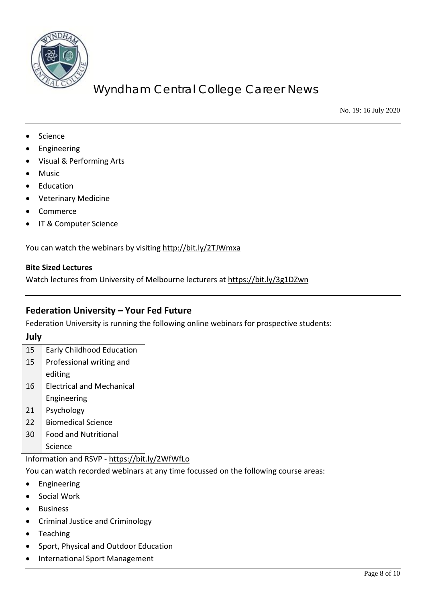

No. 19: 16 July 2020

- Science
- **Engineering**
- Visual & Performing Arts
- Music
- Education
- Veterinary Medicine
- Commerce
- IT & Computer Science

You can watch the webinars by visiting<http://bit.ly/2TJWmxa>

#### **Bite Sized Lectures**

Watch lectures from University of Melbourne lecturers at<https://bit.ly/3g1DZwn>

### **Federation University – Your Fed Future**

Federation University is running the following online webinars for prospective students:

**July**

- 15 Early Childhood Education
- 15 Professional writing and
- editing
- 16 Electrical and Mechanical
	- Engineering
- 21 Psychology
- 22 Biomedical Science
- 30 Food and Nutritional

Science

#### Information and RSVP - <https://bit.ly/2WfWfLo>

You can watch recorded webinars at any time focussed on the following course areas:

- **Engineering**
- Social Work
- **Business**
- Criminal Justice and Criminology
- Teaching
- Sport, Physical and Outdoor Education
- International Sport Management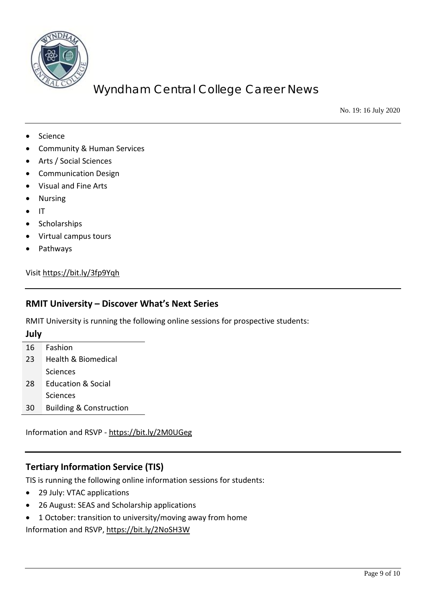

No. 19: 16 July 2020

- **Science**
- Community & Human Services
- Arts / Social Sciences
- Communication Design
- Visual and Fine Arts
- Nursing
- IT
- Scholarships
- Virtual campus tours
- Pathways

#### Visi[t https://bit.ly/3fp9Yqh](https://bit.ly/3fp9Yqh)

#### **RMIT University – Discover What's Next Series**

RMIT University is running the following online sessions for prospective students:

#### **July**

- 16 Fashion
- 23 Health & Biomedical **Sciences**
- 28 Education & Social **Sciences**
- 30 Building & Construction

Information and RSVP - <https://bit.ly/2M0UGeg>

#### **Tertiary Information Service (TIS)**

TIS is running the following online information sessions for students:

- 29 July: VTAC applications
- 26 August: SEAS and Scholarship applications
- 1 October: transition to university/moving away from home

Information and RSVP,<https://bit.ly/2NoSH3W>